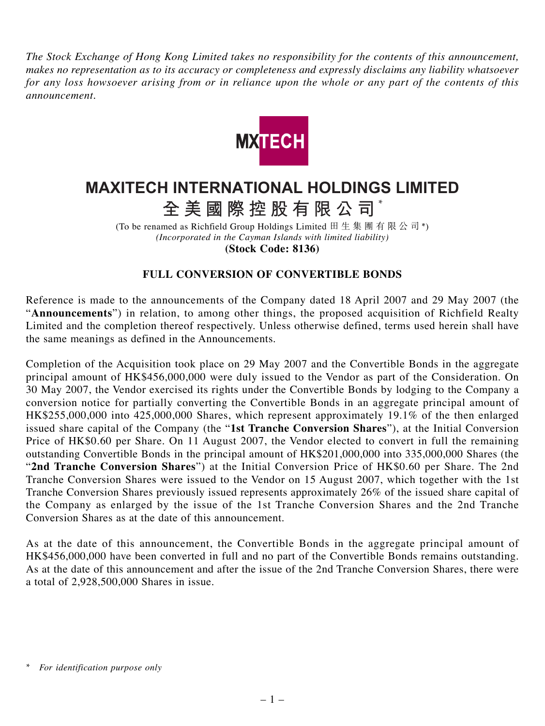*The Stock Exchange of Hong Kong Limited takes no responsibility for the contents of this announcement, makes no representation as to its accuracy or completeness and expressly disclaims any liability whatsoever for any loss howsoever arising from or in reliance upon the whole or any part of the contents of this announcement.*



## **MAXITECH INTERNATIONAL HOLDINGS LIMITED**

**全美國際控股有限公司** \*

(To be renamed as Richfield Group Holdings Limited 田生集團有限公司\*) *(Incorporated in the Cayman Islands with limited liability)* **(Stock Code: 8136)**

## **FULL CONVERSION OF CONVERTIBLE BONDS**

Reference is made to the announcements of the Company dated 18 April 2007 and 29 May 2007 (the "**Announcements**") in relation, to among other things, the proposed acquisition of Richfield Realty Limited and the completion thereof respectively. Unless otherwise defined, terms used herein shall have the same meanings as defined in the Announcements.

Completion of the Acquisition took place on 29 May 2007 and the Convertible Bonds in the aggregate principal amount of HK\$456,000,000 were duly issued to the Vendor as part of the Consideration. On 30 May 2007, the Vendor exercised its rights under the Convertible Bonds by lodging to the Company a conversion notice for partially converting the Convertible Bonds in an aggregate principal amount of HK\$255,000,000 into 425,000,000 Shares, which represent approximately 19.1% of the then enlarged issued share capital of the Company (the "**1st Tranche Conversion Shares**"), at the Initial Conversion Price of HK\$0.60 per Share. On 11 August 2007, the Vendor elected to convert in full the remaining outstanding Convertible Bonds in the principal amount of HK\$201,000,000 into 335,000,000 Shares (the "**2nd Tranche Conversion Shares**") at the Initial Conversion Price of HK\$0.60 per Share. The 2nd Tranche Conversion Shares were issued to the Vendor on 15 August 2007, which together with the 1st Tranche Conversion Shares previously issued represents approximately 26% of the issued share capital of the Company as enlarged by the issue of the 1st Tranche Conversion Shares and the 2nd Tranche Conversion Shares as at the date of this announcement.

As at the date of this announcement, the Convertible Bonds in the aggregate principal amount of HK\$456,000,000 have been converted in full and no part of the Convertible Bonds remains outstanding. As at the date of this announcement and after the issue of the 2nd Tranche Conversion Shares, there were a total of 2,928,500,000 Shares in issue.

*<sup>\*</sup> For identification purpose only*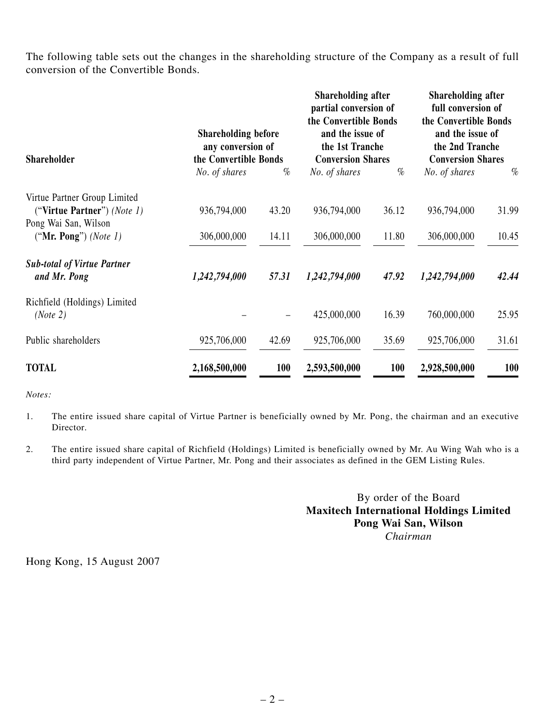The following table sets out the changes in the shareholding structure of the Company as a result of full conversion of the Convertible Bonds.

| <b>Shareholder</b>                                                                  | <b>Shareholding before</b><br>any conversion of<br>the Convertible Bonds |       | <b>Shareholding after</b><br>partial conversion of<br>the Convertible Bonds<br>and the issue of<br>the 1st Tranche<br><b>Conversion Shares</b> |            | Shareholding after<br>full conversion of<br>the Convertible Bonds<br>and the issue of<br>the 2nd Tranche<br><b>Conversion Shares</b> |       |
|-------------------------------------------------------------------------------------|--------------------------------------------------------------------------|-------|------------------------------------------------------------------------------------------------------------------------------------------------|------------|--------------------------------------------------------------------------------------------------------------------------------------|-------|
|                                                                                     | No. of shares                                                            | %     | No. of shares                                                                                                                                  | %          | No. of shares                                                                                                                        | %     |
| Virtue Partner Group Limited<br>("Virtue Partner") (Note 1)<br>Pong Wai San, Wilson | 936,794,000                                                              | 43.20 | 936,794,000                                                                                                                                    | 36.12      | 936,794,000                                                                                                                          | 31.99 |
| ("Mr. Pong") (Note $1$ )                                                            | 306,000,000                                                              | 14.11 | 306,000,000                                                                                                                                    | 11.80      | 306,000,000                                                                                                                          | 10.45 |
| <b>Sub-total of Virtue Partner</b><br>and Mr. Pong                                  | 1,242,794,000                                                            | 57.31 | 1,242,794,000                                                                                                                                  | 47.92      | 1,242,794,000                                                                                                                        | 42.44 |
| Richfield (Holdings) Limited<br>(Note 2)                                            |                                                                          |       | 425,000,000                                                                                                                                    | 16.39      | 760,000,000                                                                                                                          | 25.95 |
| Public shareholders                                                                 | 925,706,000                                                              | 42.69 | 925,706,000                                                                                                                                    | 35.69      | 925,706,000                                                                                                                          | 31.61 |
| <b>TOTAL</b>                                                                        | 2,168,500,000                                                            | 100   | 2,593,500,000                                                                                                                                  | <b>100</b> | 2,928,500,000                                                                                                                        | 100   |

*Notes:*

- 1. The entire issued share capital of Virtue Partner is beneficially owned by Mr. Pong, the chairman and an executive Director.
- 2. The entire issued share capital of Richfield (Holdings) Limited is beneficially owned by Mr. Au Wing Wah who is a third party independent of Virtue Partner, Mr. Pong and their associates as defined in the GEM Listing Rules.

By order of the Board **Maxitech International Holdings Limited Pong Wai San, Wilson** *Chairman*

Hong Kong, 15 August 2007